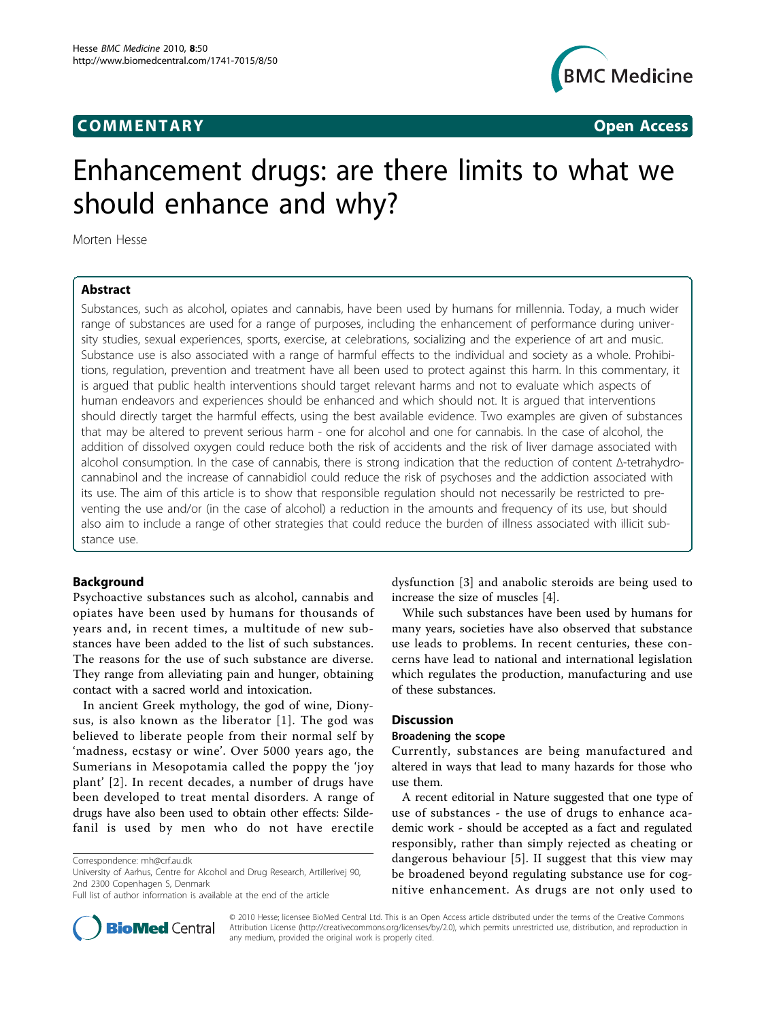## **COMMENTARY COMMENTARY Open Access**



# Enhancement drugs: are there limits to what we should enhance and why?

Morten Hesse

## Abstract

Substances, such as alcohol, opiates and cannabis, have been used by humans for millennia. Today, a much wider range of substances are used for a range of purposes, including the enhancement of performance during university studies, sexual experiences, sports, exercise, at celebrations, socializing and the experience of art and music. Substance use is also associated with a range of harmful effects to the individual and society as a whole. Prohibitions, regulation, prevention and treatment have all been used to protect against this harm. In this commentary, it is argued that public health interventions should target relevant harms and not to evaluate which aspects of human endeavors and experiences should be enhanced and which should not. It is argued that interventions should directly target the harmful effects, using the best available evidence. Two examples are given of substances that may be altered to prevent serious harm - one for alcohol and one for cannabis. In the case of alcohol, the addition of dissolved oxygen could reduce both the risk of accidents and the risk of liver damage associated with alcohol consumption. In the case of cannabis, there is strong indication that the reduction of content Δ-tetrahydrocannabinol and the increase of cannabidiol could reduce the risk of psychoses and the addiction associated with its use. The aim of this article is to show that responsible regulation should not necessarily be restricted to preventing the use and/or (in the case of alcohol) a reduction in the amounts and frequency of its use, but should also aim to include a range of other strategies that could reduce the burden of illness associated with illicit substance use.

## Background

Psychoactive substances such as alcohol, cannabis and opiates have been used by humans for thousands of years and, in recent times, a multitude of new substances have been added to the list of such substances. The reasons for the use of such substance are diverse. They range from alleviating pain and hunger, obtaining contact with a sacred world and intoxication.

In ancient Greek mythology, the god of wine, Dionysus, is also known as the liberator [\[1\]](#page-2-0). The god was believed to liberate people from their normal self by 'madness, ecstasy or wine'. Over 5000 years ago, the Sumerians in Mesopotamia called the poppy the 'joy plant' [[2](#page-2-0)]. In recent decades, a number of drugs have been developed to treat mental disorders. A range of drugs have also been used to obtain other effects: Sildefanil is used by men who do not have erectile

dysfunction [\[3](#page-2-0)] and anabolic steroids are being used to increase the size of muscles [[4\]](#page-2-0).

While such substances have been used by humans for many years, societies have also observed that substance use leads to problems. In recent centuries, these concerns have lead to national and international legislation which regulates the production, manufacturing and use of these substances.

## **Discussion**

## Broadening the scope

Currently, substances are being manufactured and altered in ways that lead to many hazards for those who use them.

A recent editorial in Nature suggested that one type of use of substances - the use of drugs to enhance academic work - should be accepted as a fact and regulated responsibly, rather than simply rejected as cheating or dangerous behaviour [\[5\]](#page-2-0). II suggest that this view may be broadened beyond regulating substance use for cognitive enhancement. As drugs are not only used to



© 2010 Hesse; licensee BioMed Central Ltd. This is an Open Access article distributed under the terms of the Creative Commons Attribution License [\(http://creativecommons.org/licenses/by/2.0](http://creativecommons.org/licenses/by/2.0)), which permits unrestricted use, distribution, and reproduction in any medium, provided the original work is properly cited.

Correspondence: [mh@crf.au.dk](mailto:mh@crf.au.dk)

University of Aarhus, Centre for Alcohol and Drug Research, Artillerivej 90, 2nd 2300 Copenhagen S, Denmark

Full list of author information is available at the end of the article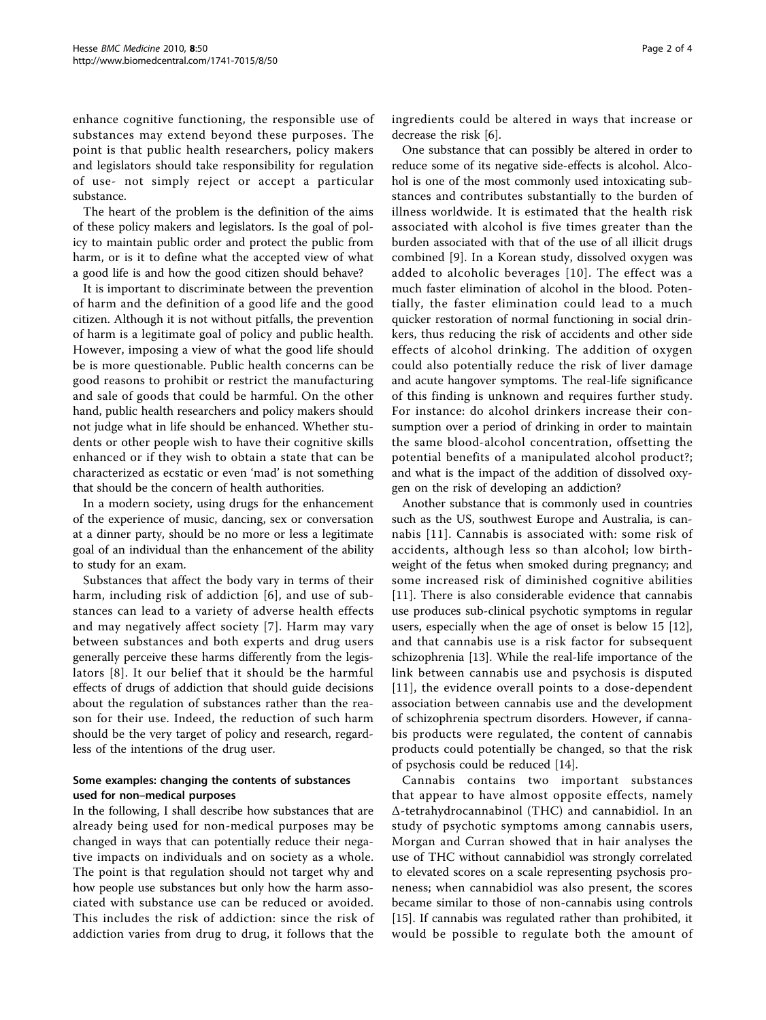enhance cognitive functioning, the responsible use of substances may extend beyond these purposes. The point is that public health researchers, policy makers and legislators should take responsibility for regulation of use- not simply reject or accept a particular substance.

The heart of the problem is the definition of the aims of these policy makers and legislators. Is the goal of policy to maintain public order and protect the public from harm, or is it to define what the accepted view of what a good life is and how the good citizen should behave?

It is important to discriminate between the prevention of harm and the definition of a good life and the good citizen. Although it is not without pitfalls, the prevention of harm is a legitimate goal of policy and public health. However, imposing a view of what the good life should be is more questionable. Public health concerns can be good reasons to prohibit or restrict the manufacturing and sale of goods that could be harmful. On the other hand, public health researchers and policy makers should not judge what in life should be enhanced. Whether students or other people wish to have their cognitive skills enhanced or if they wish to obtain a state that can be characterized as ecstatic or even 'mad' is not something that should be the concern of health authorities.

In a modern society, using drugs for the enhancement of the experience of music, dancing, sex or conversation at a dinner party, should be no more or less a legitimate goal of an individual than the enhancement of the ability to study for an exam.

Substances that affect the body vary in terms of their harm, including risk of addiction [[6](#page-2-0)], and use of substances can lead to a variety of adverse health effects and may negatively affect society [\[7\]](#page-2-0). Harm may vary between substances and both experts and drug users generally perceive these harms differently from the legislators [[8\]](#page-3-0). It our belief that it should be the harmful effects of drugs of addiction that should guide decisions about the regulation of substances rather than the reason for their use. Indeed, the reduction of such harm should be the very target of policy and research, regardless of the intentions of the drug user.

## Some examples: changing the contents of substances used for non–medical purposes

In the following, I shall describe how substances that are already being used for non-medical purposes may be changed in ways that can potentially reduce their negative impacts on individuals and on society as a whole. The point is that regulation should not target why and how people use substances but only how the harm associated with substance use can be reduced or avoided. This includes the risk of addiction: since the risk of addiction varies from drug to drug, it follows that the ingredients could be altered in ways that increase or decrease the risk [[6\]](#page-2-0).

One substance that can possibly be altered in order to reduce some of its negative side-effects is alcohol. Alcohol is one of the most commonly used intoxicating substances and contributes substantially to the burden of illness worldwide. It is estimated that the health risk associated with alcohol is five times greater than the burden associated with that of the use of all illicit drugs combined [[9\]](#page-3-0). In a Korean study, dissolved oxygen was added to alcoholic beverages [[10](#page-3-0)]. The effect was a much faster elimination of alcohol in the blood. Potentially, the faster elimination could lead to a much quicker restoration of normal functioning in social drinkers, thus reducing the risk of accidents and other side effects of alcohol drinking. The addition of oxygen could also potentially reduce the risk of liver damage and acute hangover symptoms. The real-life significance of this finding is unknown and requires further study. For instance: do alcohol drinkers increase their consumption over a period of drinking in order to maintain the same blood-alcohol concentration, offsetting the potential benefits of a manipulated alcohol product?; and what is the impact of the addition of dissolved oxygen on the risk of developing an addiction?

Another substance that is commonly used in countries such as the US, southwest Europe and Australia, is cannabis [[11](#page-3-0)]. Cannabis is associated with: some risk of accidents, although less so than alcohol; low birthweight of the fetus when smoked during pregnancy; and some increased risk of diminished cognitive abilities [[11](#page-3-0)]. There is also considerable evidence that cannabis use produces sub-clinical psychotic symptoms in regular users, especially when the age of onset is below 15 [\[12](#page-3-0)], and that cannabis use is a risk factor for subsequent schizophrenia [[13](#page-3-0)]. While the real-life importance of the link between cannabis use and psychosis is disputed [[11\]](#page-3-0), the evidence overall points to a dose-dependent association between cannabis use and the development of schizophrenia spectrum disorders. However, if cannabis products were regulated, the content of cannabis products could potentially be changed, so that the risk of psychosis could be reduced [[14](#page-3-0)].

Cannabis contains two important substances that appear to have almost opposite effects, namely Δ-tetrahydrocannabinol (THC) and cannabidiol. In an study of psychotic symptoms among cannabis users, Morgan and Curran showed that in hair analyses the use of THC without cannabidiol was strongly correlated to elevated scores on a scale representing psychosis proneness; when cannabidiol was also present, the scores became similar to those of non-cannabis using controls [[15\]](#page-3-0). If cannabis was regulated rather than prohibited, it would be possible to regulate both the amount of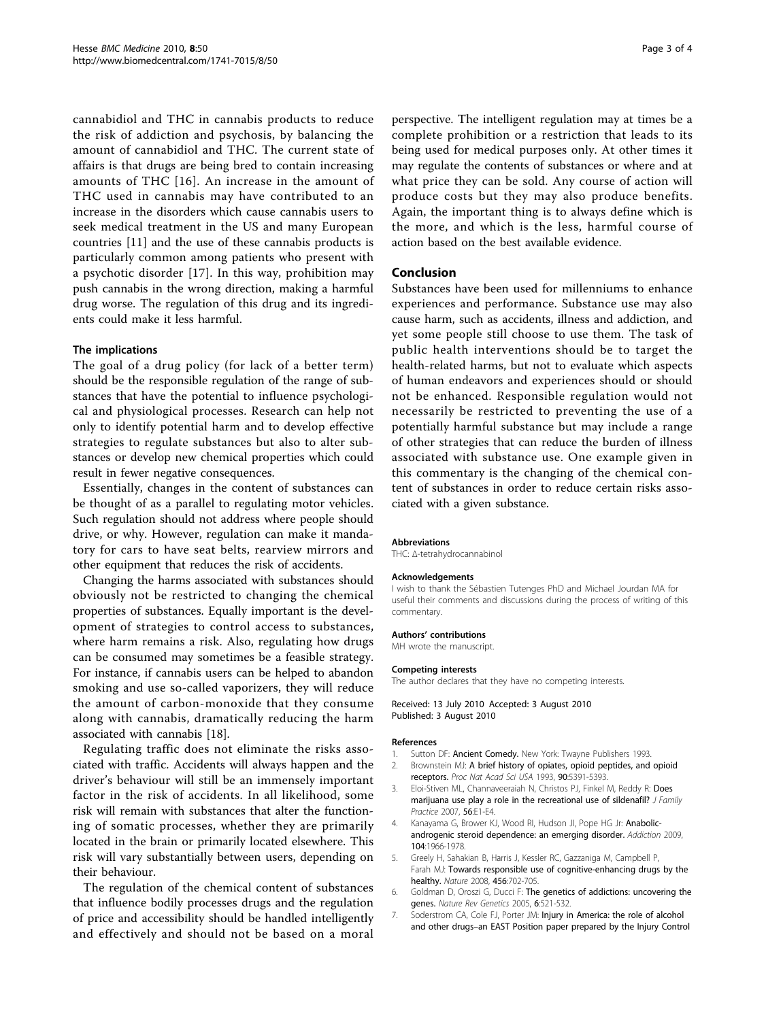<span id="page-2-0"></span>cannabidiol and THC in cannabis products to reduce the risk of addiction and psychosis, by balancing the amount of cannabidiol and THC. The current state of affairs is that drugs are being bred to contain increasing amounts of THC [[16\]](#page-3-0). An increase in the amount of THC used in cannabis may have contributed to an increase in the disorders which cause cannabis users to seek medical treatment in the US and many European countries [\[11](#page-3-0)] and the use of these cannabis products is particularly common among patients who present with a psychotic disorder [[17\]](#page-3-0). In this way, prohibition may push cannabis in the wrong direction, making a harmful drug worse. The regulation of this drug and its ingredients could make it less harmful.

## The implications

The goal of a drug policy (for lack of a better term) should be the responsible regulation of the range of substances that have the potential to influence psychological and physiological processes. Research can help not only to identify potential harm and to develop effective strategies to regulate substances but also to alter substances or develop new chemical properties which could result in fewer negative consequences.

Essentially, changes in the content of substances can be thought of as a parallel to regulating motor vehicles. Such regulation should not address where people should drive, or why. However, regulation can make it mandatory for cars to have seat belts, rearview mirrors and other equipment that reduces the risk of accidents.

Changing the harms associated with substances should obviously not be restricted to changing the chemical properties of substances. Equally important is the development of strategies to control access to substances, where harm remains a risk. Also, regulating how drugs can be consumed may sometimes be a feasible strategy. For instance, if cannabis users can be helped to abandon smoking and use so-called vaporizers, they will reduce the amount of carbon-monoxide that they consume along with cannabis, dramatically reducing the harm associated with cannabis [[18](#page-3-0)].

Regulating traffic does not eliminate the risks associated with traffic. Accidents will always happen and the driver's behaviour will still be an immensely important factor in the risk of accidents. In all likelihood, some risk will remain with substances that alter the functioning of somatic processes, whether they are primarily located in the brain or primarily located elsewhere. This risk will vary substantially between users, depending on their behaviour.

The regulation of the chemical content of substances that influence bodily processes drugs and the regulation of price and accessibility should be handled intelligently and effectively and should not be based on a moral perspective. The intelligent regulation may at times be a complete prohibition or a restriction that leads to its being used for medical purposes only. At other times it may regulate the contents of substances or where and at what price they can be sold. Any course of action will produce costs but they may also produce benefits. Again, the important thing is to always define which is the more, and which is the less, harmful course of action based on the best available evidence.

## Conclusion

Substances have been used for millenniums to enhance experiences and performance. Substance use may also cause harm, such as accidents, illness and addiction, and yet some people still choose to use them. The task of public health interventions should be to target the health-related harms, but not to evaluate which aspects of human endeavors and experiences should or should not be enhanced. Responsible regulation would not necessarily be restricted to preventing the use of a potentially harmful substance but may include a range of other strategies that can reduce the burden of illness associated with substance use. One example given in this commentary is the changing of the chemical content of substances in order to reduce certain risks associated with a given substance.

#### Abbreviations

THC: Δ-tetrahydrocannabinol

#### Acknowledgements

I wish to thank the Sébastien Tutenges PhD and Michael Jourdan MA for useful their comments and discussions during the process of writing of this commentary.

#### Authors' contributions

MH wrote the manuscript.

#### Competing interests

The author declares that they have no competing interests.

Received: 13 July 2010 Accepted: 3 August 2010 Published: 3 August 2010

#### References

- Sutton DF: Ancient Comedy. New York: Twayne Publishers 1993.
- 2. Brownstein MJ: [A brief history of opiates, opioid peptides, and opioid](http://www.ncbi.nlm.nih.gov/pubmed/8390660?dopt=Abstract) [receptors.](http://www.ncbi.nlm.nih.gov/pubmed/8390660?dopt=Abstract) Proc Nat Acad Sci USA 1993, 90:5391-5393.
- 3. Eloi-Stiven ML, Channaveeraiah N, Christos PJ, Finkel M, Reddy R: Does marijuana use play a role in the recreational use of sildenafil? J Family Practice 2007, 56:E1-E4.
- 4. Kanayama G, Brower KJ, Wood RI, Hudson JI, Pope HG Jr: [Anabolic](http://www.ncbi.nlm.nih.gov/pubmed/19922565?dopt=Abstract)[androgenic steroid dependence: an emerging disorder.](http://www.ncbi.nlm.nih.gov/pubmed/19922565?dopt=Abstract) Addiction 2009, 104:1966-1978.
- 5. Greely H, Sahakian B, Harris J, Kessler RC, Gazzaniga M, Campbell P, Farah MJ: [Towards responsible use of cognitive-enhancing drugs by the](http://www.ncbi.nlm.nih.gov/pubmed/19060880?dopt=Abstract) [healthy.](http://www.ncbi.nlm.nih.gov/pubmed/19060880?dopt=Abstract) Nature 2008, 456:702-705.
- 6. Goldman D, Oroszi G, Ducci F: The genetics of addictions: uncovering the genes. Nature Rev Genetics 2005, 6:521-532.
- 7. Soderstrom CA, Cole FJ, Porter JM: Injury in America: the role of alcohol and other drugs–an EAST Position paper prepared by the Injury Control